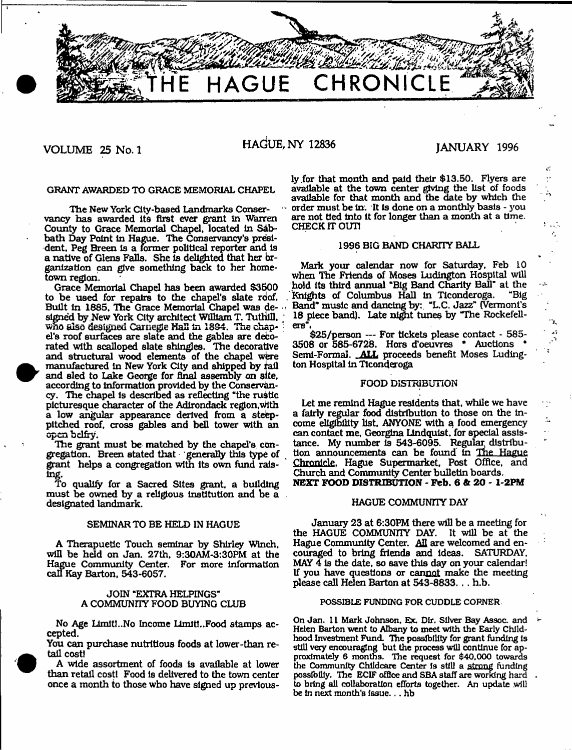

VOLUME 25 No. 1 HAdUE, NY 12836 JANUARY 1996

é.

43

÷.

vancy has awarded its first ever grant in Warren are not tied into county to Grace Memorial Chanel located in Sab- CHECK IT OUT! County to Grace Memorial Chapel, located in Sabbath Day Point in Hague. The Conservancy's presi-<br>dent. Peg Breen is a former political reporter and is fluid is the late of BAND CHARITY BALL dent. Peg Breen is a former political reporter and is a native of Glens Falls. She is delighted that her br-<br>ganization can give something back to her home-<br>Mark your calendar now for Saturday, Feb 10 ganization can give something back to her hometown region.  $\frac{1}{2}$  when The Friends of Moses Ludington Hospital will

to be used for repairs to the chapel's slate roof. Built in 1885, The Grace Memorial Chapel was de- - Band" music and dancing by: "L.C. Jazz" (Vermont's signed by New York City architect William T. Tuthill, ... 18 piece band). Late night tunes by "The Rockefellwho also designed Carnegie Hall in 1894. The chap  $\cdot$  ers".<br>el's roof aurfaces are slate and the gables are deco-  $\frac{\$25/person}$ --- For tickets please contact - 585el's roof surfaces are slate and the gables are deco- \$25/person --- For tickets please contact  $\cdot$  585-<br>rated with acalloned alate abingles. The decorative 3508 or 585-6728. Hors d'oeuvres \* Auctions \* rated with scalloped slate shingles. The decorative 3508 or 585-6728. Hors d'oeuvres \* Auctions \*<br>and structural wood elements of the chapel were Semi-Formal. ALL proceeds benefit Moses Ludingand structural wood elements of the chapel were Semi-Formal. **ALL** proceed<br>manufactured in New York City and shipped by rail ton Hospital in Ticonderoga manufactured in New York City and shipped by tail and sled to Lake George for final assembly on site,<br>according to information provided by the Conservan-<br>FOOD DISTRIBUTION according to information provided by the Conservancy. The chapel is described as reflecting "the rustic picturesque character of the Adirondack region, with Let me remind Hague residents that, while we have a low angular appearance derived from a steep- a fairly regular food distribution to those on the in-<br>pitched roof, cross gables and bell tower with an come eligibility list, ANYONE with a food emergency pitched roof, cross gables and bell tower with an

To qualify for a Sacred Sites grant, a building must be owned by a religious Institution and be a designated landmark. The community of the community of the state of the community of the community of the community of the community of the community of the community of the community of the community of the community of t

will be held on Jan. 27th,  $9:30AM-3:30PM$  at the Hague Community Center. For more Information call Kay Barton, 543-6057.

## JOIN "EXTRA HELPINGS" A COMMUNnY FOOD BUYING CLUB

No Age Limiti..No Income Limit..Food stamps accepted.

You can purchase nutritious foods at lower-than retail cost)

once a month to those who have signed up previous-A wide assortment of foods is available at lower

ly for that month and paid their \$13.50. Flyers are GRANT AWARDED TO GRACE MEMORIAL CHAPEL available at the town center giving the list of foods available for that month and the date by which the The New York City-based Landmarks Conser-  $\cdots$  order must be in. It is done on a monthly basis - you<br>I has awarded its first ever grant in Warren are not tied into it for longer than a month at a time.

Grace Memorial Chapel has been awarded \$3500 hold its third annual "Big Band Charity Ball" at the<br>be used for repairs to the chapel's slate roof. Knights of Columbus Hall in Ticonderoga. "Big 18 piece band). Late night tunes by "The Rockefell-ers".

open belity.<br>The grant must be matched by the chapel's con-<br>The grant must be matched by the chapel's con-<br>The grant must be matched by the chapel's con-The grant must be matched by the chapel's con- tance. My number is 543-6095. Regular distribu-<br>egation. Breen stated that generally this type of tion announcements can be found in The Hague gregatlon. Breen stated that generally this type of tion announcements can be found in The Hague grant helps a congregation with its own fund rais- Chronicle. Hague Supermarket, Post Office, and ing.<br>To qualify for a Sacred Sites grapt a building **NEXT FOOD DISTRIBUTION** - Feb. 6 & 20 - 1-2PM

SEMINAR TO BE HELD IN HAGUE January 23 at 6:30PM there will be a meeting for the HAGUE COMMUNITY DAY. It will be at the A Therapuetic Touch seminar by Shirley Winch. Hague Community Center. All are welcomed and en-<br>ill be held on Jan. 27th. 9:30AM-3:30PM at the couraged to bring friends and ideas. SATURDAY. MAY  $\overline{4}$  is the date, so save this day on your calendar! If you have questions or cannot make the meeting please call Helen Barton at 543-8833. . . h.b.

#### POSSIBLE FUNDING FOR CUDDLE CORNER

On Jan. 11 Mark Johnson, Ex. Dir. Silver Bay Assoc, and Helen Barton went to Albany to meet with the Early Childhood Investment Fund. The possibility for grant funding Is still very encouraging but the process will continue for approximately 6 months. The request for \$40,000 towards the Community Childcare Center Is still a strong funding than retail cost! Food is delivered to the town center possibiliy. The ECIF office and SBA staff are working hard<br>once a month to those who have signed up previous- to bring all collaboration efforts together. An update wi be In next month's Issue... hb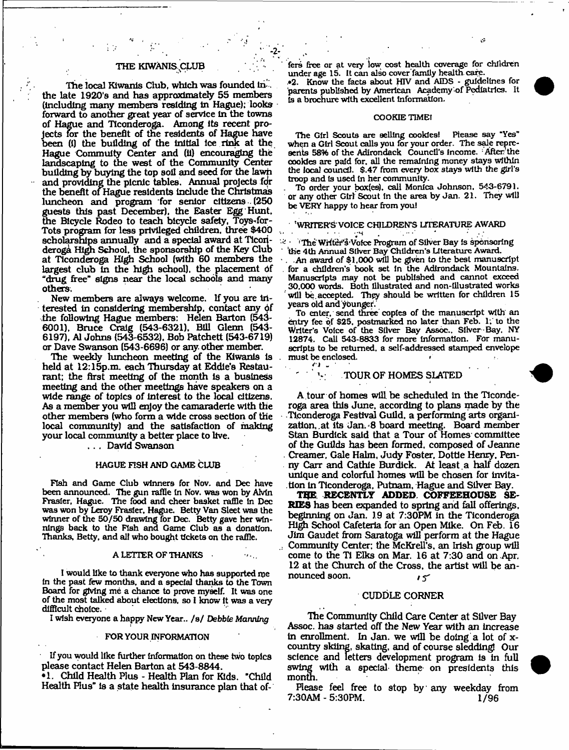## THE KIWANIS CLUB

. The same contribution of  $\mathcal{L}_2$ 

The local Kiwanis Club, which was founded In . the late 1920's and has approximately 55 members (Including many members residing In Hague); looks forward to another great year of service In the towns of Hague and Ticonderoga. Among Its recent projects for the benefit of the residents of Hague have been (i) the building of the initial ice rink at the Hague Commuity Center and (11) encouraging the landscaping to the west of the Community Center building by buying the top soil and seed for the lawn and providing the picnic tables. Annual projects fdr the benefit of Hague residents include the Christmas luncheon and program for senior citizens (250 guests this past December), the Easter Egg Hunt, the Bicycle Rodeo to teach bicycle safety, Toys-for-Tots program for less privileged children, three \$400 scholarships annually and a special award at Ticonderoga High School, the sponsorship of the Key Cluo at Ticonderoga High School (with 60 members the largest club in the high school), the placement bf "drug free" signs near the local schools and many others.

New members are always welcome. If you are interested in considering membership, contact any of the following Hague members: Helen Barton (543- 6001), Bruce Craig (543-6321). Bill Glenn (543- 6197), A1 Johns (543-6532), Bob Patchett (543-6719) or Dave Swanson (543-6696) or any other member.

The weekly luncheon meeting of the Kiwanis Is . held at 12:15p.m. each Thursday at Eddie's Restaurant; the first meeting of the month is a business meeting and the other meetings have speakers on a wide range of topics of interest to the local citizens. As a member you will enjoy the camaraderie with the other members (who form a wide cross section of the local community) and the satisfaction of making your local community a better place to live.

. . . David Swanson

#### HAGUE FISH AND GAME CLUB

Fish and Game Club winners for Nov. and Dec have been announced. The gun raffle in Nov. was won by AMn Frasier, Hague. The food and cheer basket raffle In Dec was won by Leroy Frasier, Hague. Betty Van Sleet was the winner of the 50/50 drawing for Dec. Betty gave her winnings back to the Fish and Game Club as a donation. Thanks, Betty, and all who bought tickets on the raffle.

#### A LETTER OF THANKS

I would like to thank everyone who has supported me In the past few months, and a special thanks to the Town Board for giving me a chance to prove myself. It was one of the most talked about elections, so I know It was a very difficult choice.

I wish everyone a happy New Year.. /s/ *Debbie Manning* 

#### FOR YOUR INFORMATION

If you would like further Information on these two topics please contact Helen Barton at 543-8844.

•1. Child Health Plus - Health Plan for Kids. "Child Health Plus" is a state health Insurance plan that of-

fers free or at very low cost health coverage for children under age 15. It can also cover family health care.

•2. Know the facts about HIV and AIDS - guidelines for parents published by American Academy'of Pediatrics. It Is a brochure with excellent Information,

#### COOKIE TIMEI

The Girl Scouts are selling cookies! Please say "Yes" when a Girl Scout calls you for your order. The sale represents 58% of the Adirondack Council's income. : After the cookies are paid for. all the remaining money stays within the local council. \$.47 from every box stays with the girl's troop and is used In her community.

To order your box(es), call Monica Johnson. 543-6791. or any other Girl Scout in the area by Jan. 21. They will be VERY happy to hear from you!

#### 'WRITERS' VOICE CHILDREN'S LITERATURE AWARD . The same point  $\mathcal{L}^{\mathcal{L}}$  is the same point  $\mathcal{L}^{\mathcal{L}}$  . In the same point  $\mathcal{L}^{\mathcal{L}}$

• ''Hie Writer's'Voice Program of Silver Bay Is sponsoring the 4th Annual Silver Bay Children's Literature Award.

. .An award of \$1,000 will be given to the best manuscript . for a children's book set in the Adirondack Mountains, Manuscripts may not be published and cannot exceed 30.000 words. Both Illustrated and non-Illustrated works will be accepted. They should be written for children 15 years old and younger.

To enter, send three copies of the manuscript with an entry fee of \$25, postmarked no later than Feb. 1; to the Writer's Voice of the Silver Bay Assoc., Silver Bay. NY 12874. Call 543-8833 for more Information. For manuscripts to be returned, a self-addressed stamped envelope must be enclosed.<br> $\ddot{ }$ 

## ' ' YOUR OF HOMES SLATED

A tour of homes will be scheduled In the Ticonderoga area this June, according to plans made by the Ttcondexoga Festival Guild, a performing arts organization, at Its Jan. 8 board meeting. Board member Stan Burdick said that a Tour of Homes committee of the Guilds has been formed, composed of Jeanne . Creamer, Gale Halm, Judy Foster, Dottle Henry, Penny Carr and Cathie Burdick. At least ,a half dozen unique and colorful homes will be chosen for invitation In Ticonderoga, Putnam, Hague and Silver Bay.

*rm* **RECENTLY ADDED. COFFEEHOUSE SE-RIES** has been expanded to spring and fall offerings, beginning on Jan. 19 at 7:30PM in the Ticonderoga High School Cafeteria for an Open Mike. On Feb. 16 Jim Gaudet from Saratoga will perform at the Hague .. Community Center: the McKreU's. an Irish group will come to the T1 Elks on Mar. 16 at 7:30 and on Apr. 12 at the Church of the Cross, the artist will be announced soon.  $\mathbf{15}$ 

## CUDDLE CORNER

The Community Child Care Center at Silver Bay Assoc, has started off the New Year with an increase in enrollment. In Jan. we will be doing a lot of  $x$ country skiing, skating, and of course sledding! Our science and letters development program is in full swing with a special theme on presidents this month.

Please feel free to stop by any weekday from 7:30AM - 5:30PM. 1/96



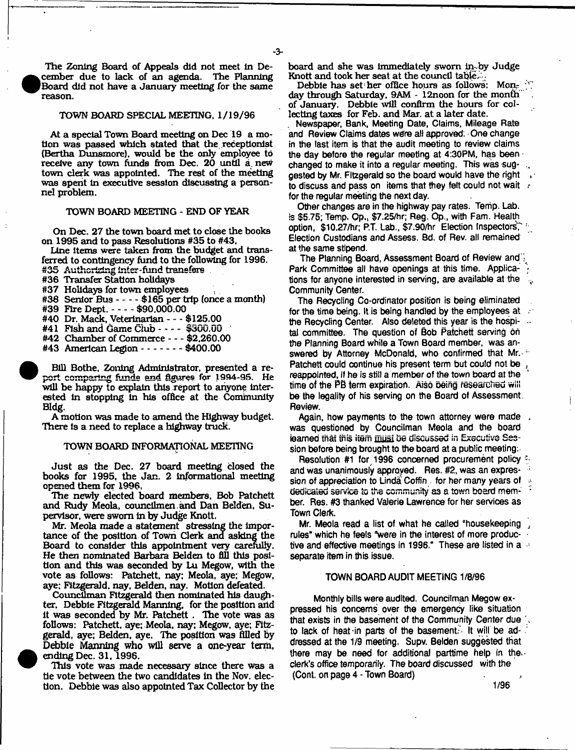The Zoning Board of Appeals did not meet In December due to lack of an agenda. The Planning Board did not have a January meeting for the same reason.

## TOWN BOARD SPECIAL MEETING, 1/19/96

At a special Town Board meeting on Dec 19 a motion was passed which stated that the receptionist (Bertha Dunsmore). would be the only employee to receive any town funds from Dec. 20 until a new town clerk was appointed. The rest of the meeting was spent in executive session discussing a personnel problem.

## TOWN BOARD MEETING - END OF YEAR

On Dec. 27 the town board met to close the books on 1995 and to pass Resolutions #35 to #43,

Line items were taken from the budget and transferred to contingency fund to the following for 1996. #35 Authorizing inter-fund transfers.

#36 Transfer Station holidays

#37 Holidays for town employees

#38 Senior Bus  $--$  \$165 per trip (once a month)

#39 Fire Dept.  $--$  \$90,000.00 #40 Dr. Mack, Veterinarian---- \$125.00

 $#41$  Fish and Game Club  $- - -$  \$300.00

#42 Chamber of Commerce----\$2,260.00

#43 American Legion - - - - - - - \$400.00

Bill Bothe, Zoning Administrator, presented a report comparing funds and figures **for 1994-95.** He will be happy to explain this report to anyone interested In stopping In his office at the Community Bldg,

A motion was made to amend the Highway budget. There is a need to replace a highway truck.

### TOWN BOARD INFORMATIONAL MEETING

Just as the Dec. 27 board meeting closed the books for 1995, the Jan. 2 Informational meeting opened them for 1996,

The newly elected board members. Bob Patchett and Rudy Meola, councllmen and Dan Belden. Supervisor, were sworn In by Judge Knott.

Mr. Meola made a statement stressing the Importance of the position of Town Clerk and asking the Board to consider this appointment very carefully. He then nominated Barbara Belden to fill this position and this was seconded by Lu Megow, with the vote as follows: Patchett, nay: Meola, aye: Megow, aye: Fitzgerald, nay, Belden, nay. Motion defeated.

Councilman Fitzgerald then nominated his daughter. Debbie Fitzgerald Manning, for the position arid It was seconded by Mr. Patchett . The vote was as follows: Patchett, aye: Meola, nay: Megow, aye: Fitzgerald, aye; Belden, aye. The position was filled by Debbie Manning who will serve a one-year term, ending Dec. 31, 1996.

This vote was made necessary since there was a tie vote between the two candidates In the Nov. election. Debbie was also appointed Tax Collector by the board and she was immediately sworn in:-by Judge Knott and took her seat at the council table.

Debbie has set her office hours as follows: Mon- $\mathbb{C}^n$ day through Saturday, 9AM - 12noon for the month of January. Debbie will confirm the hours for collecting taxes for Feb. and Mar. at a later date.

Newspaper, Bank, Meeting Date, Claims, Mileage Rate and Review Claims dates were all approved. One change in the last item is that the audit meeting to review claims the day before the regular meeting at 4:30PM, has been changed to make it into a regular meeting. This was suggested by Mr. Fitzgerald so the board would have the right to discuss and pass on items that they felt could not wait refor the regular meeting the next day.

Other changes are in the highway pay rates. Tenip. Lab. is \$5.75; Temp. Op., \$7.25/hr; Reg. Op., with Fam. Health option, \$10.27/hr; P.T. Lab., \$7.90/hr Election Inspectors," Election Custodians and Assess. Bd. of Rev. all remained at the same stipend.

The Planning Board, Assessment Board of Review and" Park Committee all have openings at this time. Applications for anyone interested in serving, are available at the Community Center.

The Recycling Co-ordinator position is being eliminated for the time being. It is being handled by the employees at the Recycling Center. Also deleted this year is the hospital committee. The question of Bob Patchett serving oh the Planning Board while a Town Board member, was answered by Attorney McDonald, who confirmed that Mr. -Patchett could continue his present term but could not be reappointed, if he is still a member of the town board at the time of the PB term expiration. Aisd being researched will be the legality of his serving on the Board of Assessment. Review.

Again, how payments to the town attorney were made was questioned by Councilman Meola and the board ieamed that this item must be discussed in Executive Session before being brought to the board at a public meeting:

Resolution #1 for 1996 concerned procurement policy and was unanimously approyed. Res. #2, was an expression of appreciation to Linda Coffin for her many years of dedicated service to the community as a town board member. Res, #3 thanked Valerie Lawrence for her services as Town Clerk,

Mr. Meola read a list of what he called "housekeeping rules" which he feels "were in the interest of more productive and effective meetings in 1996." These are listed in a separate item in this issue.

#### TOWN BOARD AUDIT MEETING 1/8/96

Monthly bills were audited. Councilman Megow expressed his concerns over the emergency like situation that exists in the basement of the Community Center due to lack of heat-in parts of the basement." It will be addressed at the 1/9 meeting. Supv. Belden suggested that there may be need for additional parttime help in the. clerk's office temporarily. The board discussed with the (Cont. on page 4 - Town Board)

1/96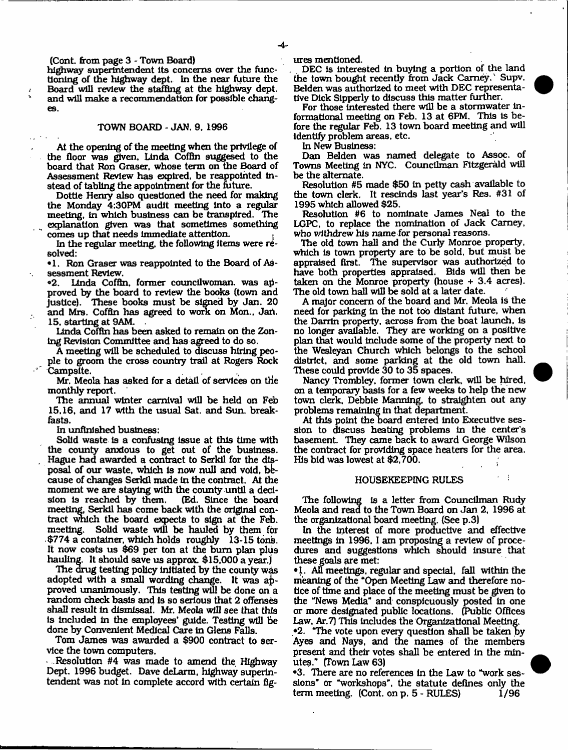(Cont. from page 3 - Town Board)

highway superintendent Its concerns over the functioning of the highway dept. In the near future the Board will review the staffing at the highway dept, and will make a recommendation for possible changes.

#### TOWN BOARD - JAN. 9. 1996

At the opening of the meeting when the privilege of the floor was given, Linda Coffin suggesed to the hoard that Ron Graser, whose term on the Board of Assessment Review has expired, be reappointed Instead of tabling the appointment for the future.

Dottle Henry also questioned the need for making the Monday 4:30PM audit meeting into a regular<br>meeting in which business can be transpired. The meeting, in which business can be transpired. explanation given was that sometimes something comes up that needs Immediate attention. .

In the regular meeting, the following items were resolved:

• 1. Ron Graser was reappointed to the Board of As-

sessment Review.<br>•2. Linda Coffb Linda Coffin, former councilwoman, was approved by the board to review the books (town and justice). These books must be signed by Jan. 20 and Mrs. Coffin has agreed to work on Mon., Jan. 15, starting at 9AM. .

Linda Coffin has been asked to remain on the Zoning Revision Committee and has agreed to do so.

A meeting will be scheduled to discuss hiring people to groom the cross country trail at Rogers Rock Campsite.

Mr, Meola has asked for a detail of services on the monthly report.

The annual winter carnival will be held on Feb 15,16, and 17 with the usual Sat. and Sun. breakfasts.

In unfinished business:

Solid waste is a confusing issue at this time with the county anxious to get out of the business. Hague had awarded a contract to Serkil for the disposal of our waste, which is now null and void, because of changes Serkil made in the contract. At the moment we are staying with the county until a deci-<br>sion is reached by them. (Ed. Since the board sion is reached by them. meeting, Serkil has come back with the original contract which the board expects to sign at the Feb. meeting. Solid waste will be hauled by them for \$774 a container, which holds roughly 13-15 tons. It now costs us \$69 per ton at the bum plan plus hauling. It should save us approx. \$15,000 a year.)

The drug testing policy initiated by the county wds adopted with a small wording change. It was approved unanimously. This testing will be done on a random check basis and is so serious that 2 offenses shall result In dismissal. Mr. Meola will see that this Is Included In the employees' guide. Testing will be done by Convenient Medical Care in Glens Falls.

Tom James was awarded a \$900 contract to service the town computers.

 $\ldots$  Resolution #4 was made to amend the Highway Dept. 1996 budget. Dave deLarm, highway superintendent was not In complete accord with certain fig ures mentioned.

DEC Is Interested in buying a portion of the land the town bought recently from Jack Carney. Supv. Belden was authorized to meet with DEC representative Dick Slpperly to discuss this matter further.

For those interested there will be a stormwater informational meeting on Feb. 13 at 6PM. This is before the regular Feb. 13 town board meeting and will identify problem areas, etc.

In New Business:

Dan Belden was named delegate to Assoc, of Towns Meeting in NYC. Councilman Fitzgerald will be the alternate.

Resolution #5 made \$50 in petty cash available to the town clerk. It rescinds last year's Res. #31 of 1995 which allowed \$25.

Resolution #6 to nominate James Neal to the LGPC, to replace the nomination of Jack Camey, who withdrew his name for personal reasons.

The old town hall and the Curly Monroe property, which Is town property are to be sold, but must be appraised first. The supervisor was authorized to have both properties appraised. Bids will then be taken on the Monroe property (house + 3.4 acres). The old town hall will be sold at a later date.

A major concern of the board and Mr. Meola is the need for parking in the not too distant future, when the Darrin property, across from the boat launch, is no longer available. They are working on a positive plan that would Include some of the property next to the Wesleyan Church which belongs to the school district, and some parking at the old town hall. These could provide 30 to 35 spaces.

Nancy Trombley, former town clerk, will be hired, on a temporary basis for a few weeks to help the new town clerk, Debbie Manning, to straighten out any problems remaining in that department.

At this point the board entered into Executive session to discuss heating problems in the center's basement. They came back to award George Wilson the contract for providing space heaters for the area. His bid was lowest at \$2,700.

#### HOUSEKEEPING RULES

The following is a letter from Councilman Rudy Meola and read to the Town Board on Jan 2, 1996 at the organizational board meeting. (See p.3)

In the interest of more productive and effective meetings in 1996, I am proposing a review of procedures and suggestions which should Insure that these goals are met:

•1. AU meetings, regular and special, fall within the meaning of the "Open Meeting Law and therefore notice of time and place of the meeting must be given to the "News Media" and conspicuously posted In one or more designated public locations. (Public Offices Law, At. 7) This Includes the Organizational Meeting.

•2. "The vote upon every question shall be taken by Ayes and Nays, and the names of the members present and their votes shall be entered In the minutes." (Town Law 63)

•3. There are no references In the Law to "work sessions" or "workshops", the statute defines only the term meeting.  $(Cont. on p. 5 - RULES)$  1/96

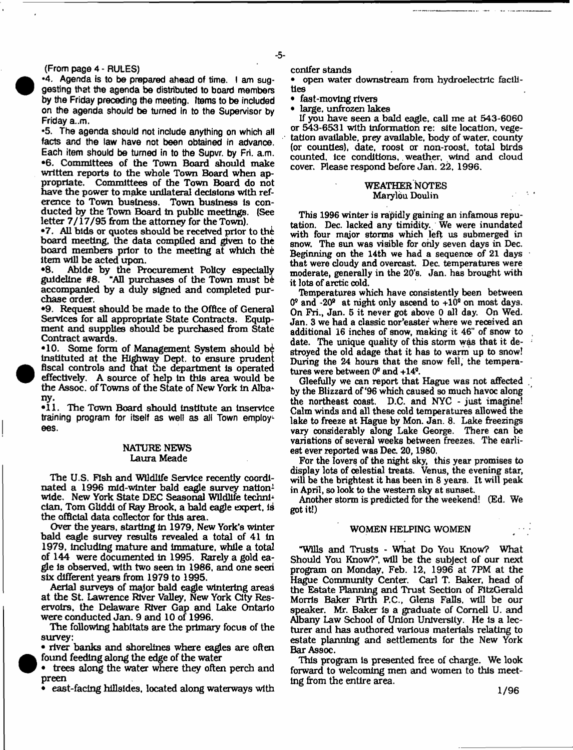## (From page 4 - RULES)

•4. Agenda is to be prepared ahead of time. I am suggesting that the agenda be distributed to board members by the Friday preceding the meeting. Items to be included on the agenda should be turned in to the Supervisor by Friday a..m.

•5. The agenda should not include anything on which all facts and the law have not been obtained in advance. Each item should be turned in to the Supvr. by Fri. a.m. •6. Committees of the Town Board should make written reports to the whole Town Board when appropriate. Committees of the Town Board do not have the power to make unilateral decisions with reference to Town business. Town business is conducted by the Town Board In public meetings. (See letter 7/17/95 from the attorney for the Town).

•7. All bids or quotes should be received prior to the board meeting, the data compiled and given to the board members prior to the meeting at which the item will be acted upon.<br>  $\bullet$ 8. Abide by the Pro

•8. Abide by the Procurement Policy especially guideline #8. "AH purchases of the Town must b& accompanied by a duly signed and completed purchase order.

\*9. Request should be made to the Office of General Services for all appropriate State Contracts. Equipment and supplies should be purchased from State Contract awards.

•10. Some form of Management System should be Instituted at the Highway Dept, to ensure prudent fiscal controls and that the department is operated effectively. A source of help in this area would be the Assoc, of Towns of the State of New York in Alba' ny.

•11. The Town Board should institute an inservice training program for itself as well as all Town employees.

## NATURE NEWS Laura Meade

The U.S. Fish and Wildlife Service recently coordinated a 1996 mid-winter bald eagle survey nation<sup>1</sup> wide. New York State DEC Seasonal Wildlife techniclan. Tom GUddl of Ray Brook, a bald eagle expert, is the official data collector for this area.

Over the years, starting in 1979, New York's winter bald eagle survey results revealed a total of 41 In 1979, Including mature and immature, while a total of 144 were documented In 1995. Rarely a gold eagle is observed, with two seen In 1986, and one seen six different years from 1979 to 1995.

Aerial surveys of major bald eagle wintering areas at the St. Lawrence River Valley, New York City Reservoirs, the Delaware River Gap and Lake Ontario were conducted Jan. 9 and 10 of 1996.

The following habitats are the primary focus of the survey:

• river banks and shorelines where eagles are often found feeding along the edge of the water

• trees along the water where they often perch and preen

• east-facing hillsides, located along waterways with

#### conifer stands

• open water downstream from hydroelectric facilities

• fast-moving rivers<br>• large unfrozen lak

large, unfrozen lakes

If you have seen a bald eagle, call me at 543-6060 or 543-6531 with information re: site location, vegetation available, prey available, body of water, county (or counties), date, roost or non-roost, total birds counted. Ice conditions,, weather, wind and cloud cover. Please respond before Jan. 22, 1996.

## WEATHER NOTES Marylou Doulin

This 1996 winter is rapidly gaining an infamous reputation. Dec. lacked any timidity. We were inundated with four major storms which left us submerged in snow. The sun was visible for only seven days in Dec. Beginning on the 14th we had a sequence of 21 days that were cloudy and overcast. Dec. temperatures were moderate, generally in the 20\*s. Jan. has brought with it lots of arctic cold.

Temperatures which have consistently been between  $0^{\circ}$  and -20<sup>°</sup> at night only ascend to  $+10^{\circ}$  on most days. On Fri., Jan. 5 it never got above 0 all day. On Wed. Jan. 3 we had a classic nor'easter where we received an additional 16 inches of snow, making it 46" of snow to date. The unique quality of this storm was that it destroyed the old adage that it has to warm up to snow! During the 24 hours that the snow fell, the temperatures were between 0® and +14®.

Gleefully we can report that Hague was not affected . by the Blizzard of \*96 which caused so much havoc along the northeast coast. D.C. and NYC - just imagine! Calm winds and all these cold temperatures allowed the lake to freeze at Hague by Mon. Jan. 8. Lake freezings vary considerably dong Lake George. There can be variations of several weeks between freezes. The earliest ever reported was Dec. 20,1980.

For the lovers of the night sky, this year promises to display lots of celestial treats. Venus, the evening star, will be the brightest it has been in 8 years. It will peak in April, so look to the western sky at sunset.

Another storm is predicted for the weekend! (Ed. We got it!)

## WOMEN HELPING WOMEN

"Wills and Trusts - What Do You Know? What Should You Know?", will be the subject of our next program on Monday, Feb. 12, 1996 at 7PM at the Hague Community Center. Carl T. Baker, head of the Estate Planning and Trust Section of FitzGerald Morris Baker Firth P.C., Glens Falls, will be our speaker. Mr. Baker is a graduate of Cornell U. and Albany Law School of Union University. He is a lecturer and has authored various materials relating to estate planning and settlements for the New York Bar Assoc.

This program is presented free of charge. We look forward to welcoming men and women to this meeting from the entire area.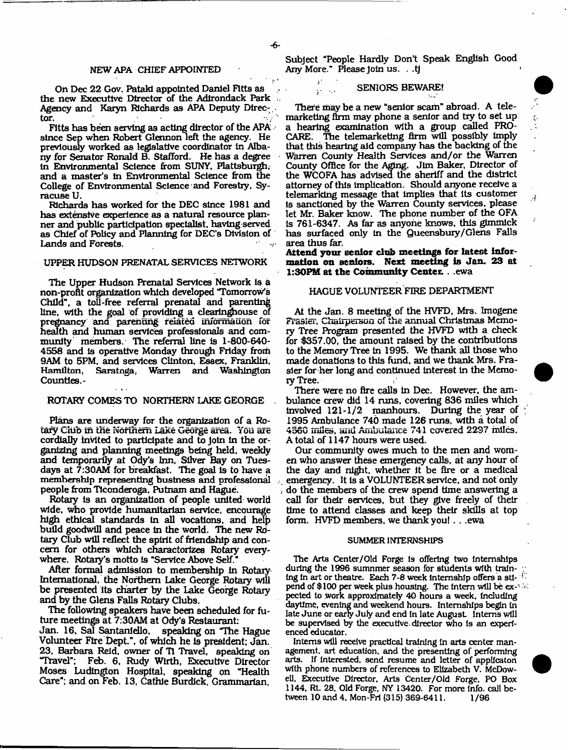¥,

### NEW APA CHIEF APPOINTED

On Dec 22 Gov. Patakl appointed Daniel Fitts as the new Executive Director of the Adirondack Park ;. Agency and Karyn Richards as APA Deputy Director.

Fitts has been serving as acting director of the APA since Sep when Robert Glennon left the agency. He previously worked as legislative coordinator in Albany for Senator Ronald B. Stafford. He has a degree in Environmental Science from SUNY. Plattsburgh, and a master's In Environmental Science from the College of Environmental Science and Forestry. Syracuse U.

Richards has worked for the DEC since 1981 and has extensive experience as a natural resource planner and public participation specialist, having-served as Chief of Policy and Planning for DEC's Division of Lands and Forests.

### UPPER HUDSON PRENATAL SERVICES NETWORK

The Upper Hudson Prenatal Services Network is a non-profit organization which developed "Tomorrow's Child", a toll-free referral prenatal and parenting line, with the goal of providing a clearinghouse of pregnancy and parenting related information for health and human services professionals and community members. The referral line is 1-800-640- 4558 and Is operative Monday through Friday froth 9AM to 5PM, and services Clinton, Essex, Franklin. Hamilton, Saratoga, Warren and Washington Counties.-

#### ROTARY COMES TO NORTHERN LAKE GEORGE

Plans are underway for the organization of a Rotary Club in the Northern Lake George area. You are cordially invited to participate and to Join in the organizing and planning meetings being held, weekly and temporarily at Ody's Inn. Silver Bay on Tuesdays at 7:30AM for breakfast. The goal Is to have a membership representing business and professional people from Ticonderoga, Putnam and Hague.

Rotary Is an organization of people united world wide, who provide humanitarian service, encourage high ethical standards in all vocations, and help build goodwill and peace in the world. The new Rotary Club will reflect the spirit of friendship and concern for others which charactorizes Rotary everywhere. Rotary's motto is "Service Above Self."

After formal admission to membership in Rotary International, the Northern Lake George Rotary will be presented its charter by the Lake George Rotary and by the Glens Falls Rotary Clubs.

The following speakers have been scheduled for future meetings at 7:30AM at Ody's Restaurant:

Jan. 16, Sal Santanldlo, speaking on "The Hague Volunteer Fire Dept.", of which he is president; Jan. 23, Barbara Reid, owner of Tl Travel, speaking on "Travel"; Feb, 6, Rudy Wirth, Executive Director Moses Ludtngton Hospital, speaking on "Health Care"; and on Feb. 13, Cathie Burdick, Grammarian,

Subject "People Hardly Don't Speak English Good Any More." Please Join us. . .tj

## SENIORS BEWARE!

There may be a new "senior scam" abroad. A telemarketing firm may phone a senior and try to set up a hearing examination with a group called PRO-CARE. The telemarketing firm will possibly Imply that this hearing aid company has the backing of the Warren County Health Services and/or the Warren County Office for the Aging. Jim Baker, Director of the WCOFA has advised the sheriff and the district attorney of this Implication. Should anyone receive a telemarking message that Implies that its customer is sanctioned by the Warren County services, please let Mr. Baker know. The phone number of the OFA is 761-6347. As far as anyone knows, this gimmick has surfaced only in the Queensbury/ Glens Falls area thus far.

 $\boldsymbol{A}$ 

**Attend your senior club meetings for latest Information on seniors. Next meeting Is Jan. 28 at 1:30PM at the Community Center.** . .ewa

#### HAGUE VOLUNTEER FIRE DEPARTMENT

At the Jan. 8 meeting of the HVFD, Mrs. Imogene Frasier, Chairperson of the annual Christmas Memory Tree Program presented the HVFD with a check for \$357.00, the amount raised by the contributions to the Memory Tree in 1995. We thank all those who made donations to this fund, and we thank Mrs. Frasier for her long and continued Interest in the Memory Tree.

There were no fire calls In Dec. However, the ambulance crew did 14 runs, covering 836 miles which involved 121-1/2 raanhours. During the year of 1995 Ambulance 740 made 126 runs, with a total of 4560 miles, aiiu Ambulance 741 covered 2237 miles. A total of 1147 hours were used.

Our community owes much to the men and women who answer these emergency calls, at any hour of the day and night, whether It be fire or a medical emergency. It is a VOLUNTEER service, and not only do the members of the crew spend time answering a call for their services, but they give freely of their time to attend classes and keep their skills at top form. HVFD members, we thank you! . . .ewa

#### SUMMER INTERNSHIPS

The Arts Center/Old Forge is offering two internships during the 1996 sumnmer season for students with training in art or theatre. Each 7-8 week internship offers a sti- $^{17}$ pend of \$ 100 per week plus housing. The intern will be ex-' pected to work approximately 40 hours a week. Including daytime, evening and weekend hours. Internships begin in late June or early July and end in late August Interns will be supervised by the executive, director who Is an experienced educator.

Interns will receive practical training In arts center management. art education, and the presenting of performing arts. If Interested, send resume and letter of appllcaton with phone numbers of references to Elizabeth V. McDowell, Executive Director, Arts Center/Oid Forge, PO Box 1144, Rt. 28, Old Forge, NY 13420. For more Info, call between 10 and 4. Mon-Fri (315) 369-6411. 1/96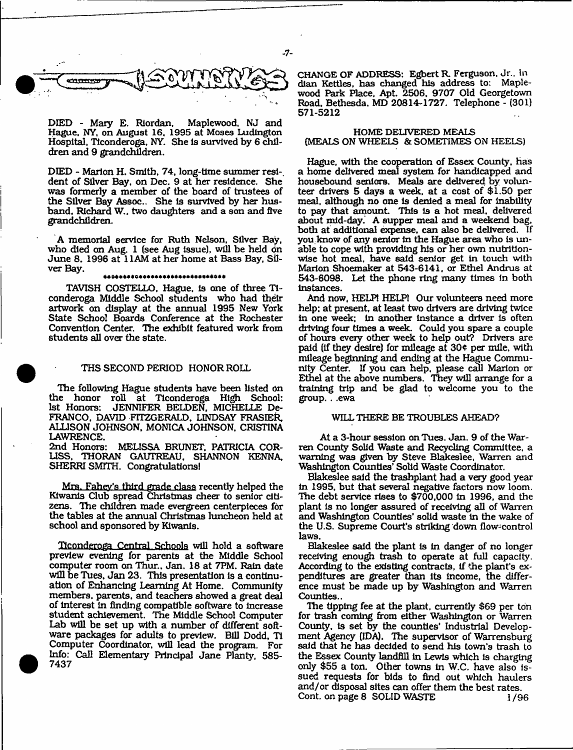

DIED - Mary E. Riordan, Maplewood. NJ and Hague. NY, on August 16. 1995 at Moses Ludlngton Hospital, Ticonderoga. NY. She Is survived by 6 children and 9 grandchildren.

DIED - Marlon H. Smith, 74, long-time summer resl-. dent of Silver Bay, on Dec. 9 at her residence. She was formerly a member of the board of trustees of the Silver Bay Assoc.. She Is survived by her husband. Richard W.. two daughters and a son and five grandchildren.

A memorial service for Ruth Nelson. Silver Bay, who died on Aug. 1 (see Aug issue), will be held on June 8. 1996 at 11AM at her home at Bass Bay. Silver Bay.

#### **0.000000000000000000000000000000000**

TAVISH COSTELLO, Hague, Is one of three Ticonderoga Middle School students who had their artwork on display at the annual 1995 New York State School Boards Conference at the Rochester Convention Center. The exhibit featured work from students all over the state.

## THS SECOND PERIOD HONOR ROLL

The following Hague students have been listed on<br>the honor roll at Ticonderoga High School: the honor roll at Ticonderoga High School: 1st Honors: JENNIFER BELDEN, MICHELLE De-FRANCO, DAVID FITZGERALD. LINDSAY FRASEER. ALLISON JOHNSON, MONICA JOHNSON, CRISTINA

LAWRENCE.<br>2nd Honors: MELISSA BRUNET, PATRICIA COR-LISS, THORAN GAUTREAU, SHANNON KENNA, SHERRI SMITH. Congratulations!

Mrs. Fahey's third grade class recently helped the Kiwanis Club spread Christmas cheer to senior citizens. The children made evergreen centerpieces for the tables at the annual Christmas luncheon held at school and sponsored by Kiwanis.

Ticonderoga Central Schools will hold a software preview evening for parents at the Middle School computer room on Thur., Jan. 18 at 7PM. Rain date will be Tues. Jan 23. This presentation is a continuation of Enhancing Learning At Home. Community members, parents, and teachers showed a great dead of Interest In finding compatible software to increase student achievement. The Middle School Computer Lab will be set up with a number of different software packages for adults to preview. Bill Dodd, T1 Computer Coordinator, will lead the program. For Info: Call Elementary Principal Jane Planty, 585- 7437

CHANGE OF ADDRESS: Egbert R. Ferguson. Jr.. In dian Kettles, has changed his address to: Maplewood Park Place, Apt. 2506, 9707 Old Georgetown Road. Bethesda. MD 20814-1727. Telephone - (301) 571-5212

## HOME DELIVERED MEALS (MEALS ON WHEELS & SOMETIMES ON HEELS)

Hague, with the cooperation of Essex County, has a home delivered meal system for handicapped and housebound seniors. Meals are delivered by volunteer drivers 5 days a week, at a cost of \$1.50 per meal, although no one Is denied a meal for Inability to pay that amount. This is a hot meal, delivered about mid-day. A supper meal and a weekend bag, both af additional expense, can also be delivered. If you know of any senior in the Hague area who Is unable to cope with providing his or her own nutritionwise hot meal, have said senior get in touch with Marlon Shoemaker at 543-6141, or Ethel Andrus at 543-6098. Let the phone ring many times In both Instances.

And now, HELP! HELP1 Our volunteers need more help: at present, at least two drivers are driving twice In one week; In another instance a driver is often driving four times a week. Could you spare a couple of hours every other week to help out? Drivers are paid (if they desire) for mileage at  $30¢$  per mile, with mileage beginning and ending at the Hague Community Center. If you can help, please call Marion or Ethel at the above numbers. They will arrange for a training trip and be glad to welcome you to the group. . .ewa

### WILL THERE BE TROUBLES AHEAD?

At a 3-hour session on Tues. Jan. 9 of the Warren County Solid Waste and Recycling Committee, a warning was given by Steve Blakeslee, Warren and Washington Counties' Solid Waste Coordinator.

Blakeslee said the trashplant had a very good year In 1995. but that several negative factors now loom. The debt service rises to \$700,000 In 1996, and the plant Is no longer assured of receiving all of Warren and Washington Counties' solid waste In the wake of the U.S. Supreme Court's striking down flow-control laws.

Blakeslee said the plant is In danger of no longer receiving enough trash to operate at full capacity. According to the existing contracts, If the plant's expenditures are greater than its income, the difference must be made up by Washington and Warren Counties..

The tipping fee at the plant, currently \$69 per ton for trash coming from either Washington or Warren County, Is set by the counties' Industrial Development Agency (IDA). The supervisor of Warrensburg said that he has decided to send his town's trash to the Essex County landfill in Lewis which Is charging only \$55 a ton. Other towns in W.C. have also issued requests for bids to find out which haulers and/or disposal sites can offer them the best rates. Cont. on page 8 SOLID WASTE 1/96

 $-7-$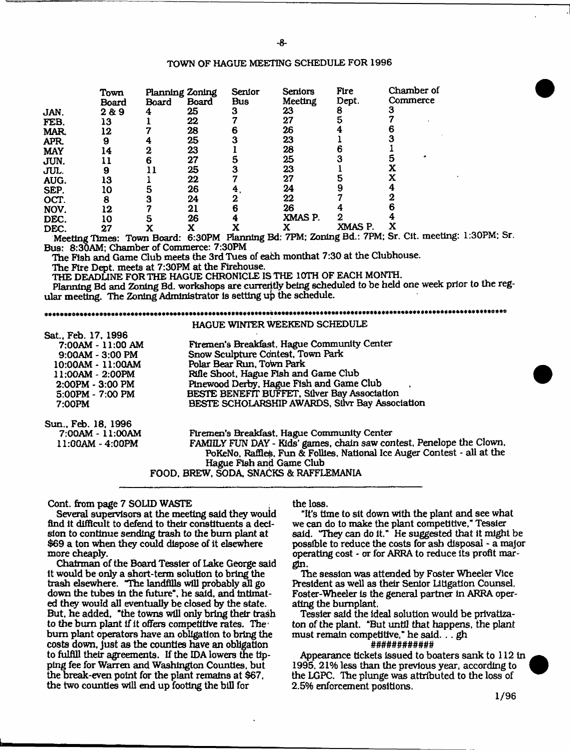## TOWN OF HAGUE MEETING SCHEDULE FOR 1996

|            | Town  |       | Planning Zoning | Serior | Seniors   | Fire                             | Chamber of       |
|------------|-------|-------|-----------------|--------|-----------|----------------------------------|------------------|
|            | Board | Board | <b>Board</b>    | Bus    | Meeting   | Dept.                            | Commerce         |
| JAN.       | 2&9   | 4     | 25              | 3      | 23        | 8                                |                  |
| FEB.       | 13    |       | 22              |        | 27        |                                  |                  |
| MAR.       | 12    |       | 28              |        | 26        |                                  |                  |
| APR.       | 9     |       | 25              |        | 23        |                                  |                  |
| <b>MAY</b> | ι4    |       | 23              |        | 28        |                                  |                  |
| JUN.       |       | 6     | 27              |        | 25        |                                  |                  |
| JUL.       | 9     |       | 25              |        | 23        |                                  |                  |
| AUG.       | 13    |       | 22              |        | 27        |                                  |                  |
| SEP.       | ιo    | 5     | 26              |        | 24        |                                  |                  |
|            | 8     |       | 24              | 2      | 22        |                                  |                  |
| OCT.       |       |       |                 | 6      | 26        |                                  |                  |
| NOV.       | 12    |       | 21              |        |           | 2                                |                  |
| DEC.       | 10    | 5     | 26              |        | XMAS P.   |                                  |                  |
| DEC.       | 27    |       | х               |        | ---<br>-- | XMAS P.<br><b>CONTACT</b><br>- - | $\sim$<br>$\sim$ |

Meeting Times: Town Board: 6:30PM planning Bd: 7PM; Zoning Bd.: 7PM: Sr. Cit. meeting: 1:30PM: Sr. Bus: 8:30AM; Chamber of Commerce: 7:30PM

The Fish and Game Club meets the 3rd Tues of each monthat 7:30 at the Clubhouse.

The Fire Dept, meets at 7:30PM at the Firehouse.

THE DEADLINE FOR THE HAGUE CHRONICLE IS THE 10TH OF EACH MONTH.

Planning Bd and Zoning Bd. workshops are currently being scheduled to be held one week prior to the regular meeting. The Zoning Administrator is setting up the schedule.

## 

|                     | HAGUE WINTER WEEKEND SCHEDULE                                           |
|---------------------|-------------------------------------------------------------------------|
| Sat., Feb. 17, 1996 |                                                                         |
| 7:00AM - 11:00 AM   | Firemen's Breakfast, Hague Community Center                             |
| $9:00AM - 3:00 PM$  | Snow Sculpture Contest, Town Park                                       |
| 10:00AM - 11:00AM   | Polar Bear Run, Town Park                                               |
| 11:00AM - 2:00PM    | Rifle Shoot, Hague Fish and Game Club                                   |
| $2:00PM - 3:00 PM$  | Pinewood Derby, Hague Fish and Game Club                                |
| 5:00PM - 7:00 PM    | BESTE BENEFIT BUFFET, Silver Bay Association                            |
| 7:00PM              | BESTE SCHOLARSHIP AWARDS, Silvr Bay Association                         |
| Sun., Feb. 18, 1996 |                                                                         |
| 7:00AM - 11:00AM    | Firemen's Breakfast, Hague Community Center                             |
| $11:00AM - 4:00PM$  | FAMILY FUN DAY - Kids' games, chain saw contest, Penelope the Clown,    |
|                     | PoKeNo, Raffles, Fun & Follies, National Ice Auger Contest - all at the |
|                     | Hague Fish and Game Club                                                |
|                     | FOOD, BREW, SODA, SNACKS & RAFFLEMANIA                                  |
|                     |                                                                         |

## Cont, from page 7 SOLID WASTE

Several supervisors at the meeting said they would find it difficult to defend to their constituents a decision to continue sending trash to the bum plant at \$69 a ton when they could dispose of it elsewhere more cheaply.

Chairman of the Board Tessier of Lake George said It would be only a short-term solution to bring the trash elsewhere. "The landfills will probably all go down the tubes in the future", he said, and intimated they would all eventually be closed by the state. But. he added, "the towns will only bring their trash to the burn plant if it offers competitive rates. The  $\cdot$ bum plant operators have an obligation to bring the costs down, just as the counties have an obligation to fulfill their agreements. If the IDA lowers the tipping fee for Warren and Washington Counties, but the break-even point for the plant remains at \$67, the two counties will end up footing the bill for

the loss.

"It's time to sit down with the plant and see what we can do to make the plant competitive," Tessier said. "They can do It." He suggested that it might be possible to reduce the costs for ash disposal - a major operating cost - or for ARRA to reduce Its profit margin.

The session was attended by Foster Wheeler Vice President as well as their Senior Litigation Counsel. Foster-Wheeler is the general partner in ARRA operating the bumplant.

Tessier said the ideal solution would be privatizaton of the plant. "But until that happens, the plant must remain competitive," he said. .. gh

## ############

Appearance tickets Issued to boaters sank to 112 in 1995, 21% less than the previous year, according to the LGPC. The plunge was attributed to the loss of 2.5% enforcement positions.

1/96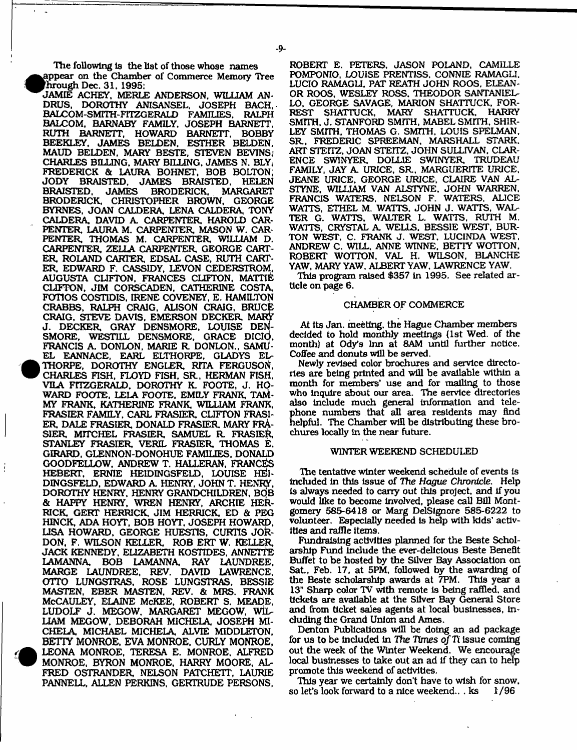The following Is the list of those whose names appear on the Chamber of Commerce Memory Tree i^H 'hrough Dec. 31. 1995:

JAMIË ACHEY, MERLE ANDERSON, WILLIAM AN-<br>DRUS. DOROTHY ANISANSEL. JOSEPH BACH DOROTHY ANISANSEL, JOSEPH BACH,<br>M-SMITH-FITZGERALD FAMILIES, RALPH BALCOM-SMITH-FITZGERALD FAMILIES. BALCOM. BARNABY FAMILY, JOSEPH BARNETT, RUTH BARNETT, HOWARD BARNETT. BOBBY BEEKLEY, JAMES BELDEN. ESTHER BELDEN, MAUD BELDEN, MARY BESTE, STEVEN BEVINS; CHARLES BILLING. MARY BILLING. JAMES N. BLY, FREDERICK & LAURA BOHNET, BOB BOLTON; JODY BRAISTED, JAMES BRAISTED, HELEN BRODERICK, BRODERICK, CHRISTOPHER BROWN, GEORGE BYRNES, JOAN CALDERA, LENA CALDERA, TONY CALDERA, DAVID A CARPENTER HAROLD CAR-PENTER LAURA M. CARPENTER MASON W. CAR-PENTER THOMAS M. CARPENTER WILLIAM D. CARPENTER ZELLA CARPENTER GEORGE CART-ER ROLAND CARTER EDSAL CASE, RUTH CART-ER EDWARD F. CASSIDY, LEVON CEDERSTROM, AUGUSTA CLIFTON, FRANCES CLIFTON. MATTIE CLIFTON, JIM CORSCADEN. CATHERINE COSTA, FOmOS COSTIDIS, IRENE COVENEY, E. HAMILTON CRABBS, RALPH CRAIG. ALISON CRAIG, BRUCE CRAIG, STEVE DAVIS, EMERSON DECKER MARY J. DECKER GRAY DENSMORE, LOUISE DEN-SMORE, WESTILL DENSMORE, GRACE DICIO. FRANCIS A. DONLON, MARIE R DONLON., SAMU-EL EANNACE, EARL ELTHORPE, GLADYS EL THORPE, DOROTHY ENGLER RITA FERGUSON, CHARLES FISH, FLOYD FISH, SR. HERMAN FISH. VILA FITZGERALD. DOROTHY K. FOOTE, J. HO-WARD FOOTE. LELA FOOTE. EMILY FRANK, TAM-MY FRANK, KATHERINE FRANK, WILLIAM FRANK, FRASIER FAMILY. CARL FRASIER CLIFTON FRASI-ER DALE FRASIER DONALD FRASIER MARY FRA-SIER MrTCHEL FRASIER SAMUEL R FRASIER STANLEY FRASIER, VERIL FRASIER, THOMAS E. GIRARD. GLENNON-DONOHUE FAMILIES. DONALD GOODFELLOW. ANDREW T. HALLERAN. FRANCES HEBERT, ERNIE HEIDINGSFELD, LOUISE HEl-DINGSFELD, EDWARD A. HENRY, JOHN T. HENRY, DOROTHY HENRY, HENRY GRANDCHILDREN, BOB & HAPPY HENRY, WREN HENRY, ARCHIE HER-RICK, GERT HERRICK, JIM HERRICK, ED & PEG HINCK, ADA HOYT, BOB HOYT. JOSEPH HOWARD. USA HOWARD, GEORGE HUESTIS, CURTIS JOR-DON, F. WILSON KELLER, ROB ERT W. KELLER JACK KENNEDY, ELIZABETH KOSTIDES, ANNETTE LAMANNA, BOB LAMANNA RAY LAUNDREE. MARGE LAUNDREE. REV. DAVID LAWRENCE, OTTO LUNGSTRAS. ROSE LUNGSTRAS. BESSIE MASTEN, EBER MASTEN, REV. & MRS. FRANK McCAULEY, ELAINE McKEE. ROBERT S. MEADE, LUDOLF J. MEGOW. MARGARET MEGOW. WIL-LIAM MEGOW. DEBORAH MICHELA, JOSEPH MI-CHELA MICHAEL MICHELA ALVIE MIDDLETON. BETTY MONROE, EVA MONROE, CURLY MONROE, LEONA MONROE, TERESA E. MONROE, ALFRED W MONROE. BYRON MONROE, HARRY MOORE, AL-FRED OSTRANDER, NELSON PATCHETT, LAURIE PANNELL, ALLEN PERKINS, GERTRUDE PERSONS.

<sup>•</sup>

ROBERT E. PETERS. JASON POLAND. CAMILLE POMPONIO, LOUISE PRENTISS. CONNIE RAMAGU LUCIO RAMAGLI, PAT REATH JOHN ROOS, ELEAN-OR ROOS. WESLEY ROSS. THEODOR SANTAN1EL-LO, GEORGE SAVAGE, MARION SHATTUCK, FOR-<br>REST SHATTUCK, MARY SHATTUCK, HARRY REST SHATTUCK, MARY SMITH. J. STANFORD SMITH, MABEL SMITH, SHIR-LEY SMTTH, THOMAS G. SMITH. LOUIS SFELMAN, SR. FREDERIC SPREEMAN, MARSHALL STARK. ART STEITZ, JOAN STEITZ. JOHN SULLIVAN. CLAR-ENCE SWINYER DOLLIE SWINYER TRUDEAU FAMILY, JAY A. URICE, SR, MARGUERITE URICE, JEANE URICE. GEORGE URICE, CLAIRE VAN AL-STYNE. WILLIAM VAN ALSTYNE, JOHN WARREN. FRANCIS WATERS, NELSON F. WATERS. ALICE WATTS. ETHEL M. WATTS. JOHN J. WATTS, WAL-TER G. WATTS, WALTER L. WATTS, RUTH M. WATTS, CRYSTAL A. WELLS. BESSIE WEST, BUR-TON WEST. C. FRANK J. WEST. LUCINDA WEST. ANDREW C. WILL. ANNE WINNE. BETTY WOTTON. ROBERT WOTTON. VAL H. WILSON. BLANCHE YAW. MARY YAW. ALBERT YAW. LAWRENCE YAW.

This program raised \$357 in 1995- See related article on page 6.

#### CHAMBER OF COMMERCE

At its Jan. meeting, the Hague Chamber members decided to hold monthly meetings (1st Wed. of the month) at Odys Inn at SAM until further notice. Coffee and donuts will be served.

Newly revised color brochures and service directories are being printed and will be available within a month for members' use and for mailing to those who inquire about our area. The service directories also include much general Information and telephone numbers that all area residents may find helpful. The Chamber will be distributing these brochures locally In the near future.

## WINTER WEEKEND SCHEDULED

The tentative winter weekend schedule of events Is Included In this issue of *The Hague Chronicle.* Help is always needed to cany out this project, and if you would like to become Involved, please call Bill Montgomery 585-6418 or Marg DelSignore 585-6222 to volunteer. Especially needed Is help with kids' activities and raffle items.

Fundraising activities planned for the Beste Scholarship Fund include the ever-dellclous Beste Benefit Buffet to be hosted by the Silver Bay Association on Sat., Feb. 17, at 5PM, followed by the awarding of the Beste scholarship awards at 7PM. This year a 13" Sharp color TV with remote is being raffled, and tickets are available at the Silver Bay General Store and from ticket sales agents at local businesses, including the Grand Union and Ames.

Denton Publications will be doing an ad package for us to be included In *The Times ofTi* issue coming out the week of the Winter Weekend. We encourage local businesses to take out an ad If they can to help promote this weekend of activities.

This year we certainly don't have to wish for snow, so let's look forward to a nice weekend... ks  $1/96$